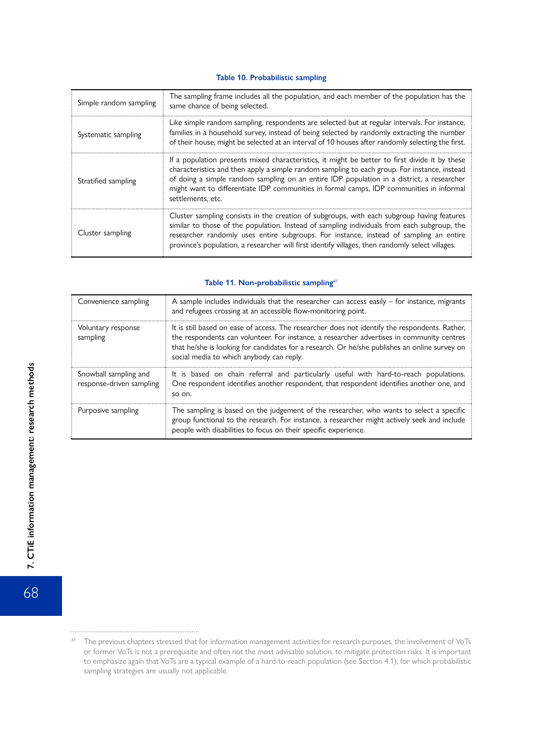#### **Table 10. Probabilistic sampling**

| Simple random sampling | The sampling frame includes all the population, and each member of the population has the<br>same chance of being selected.                                                                                                                                                                                                                                                                                  |  |  |
|------------------------|--------------------------------------------------------------------------------------------------------------------------------------------------------------------------------------------------------------------------------------------------------------------------------------------------------------------------------------------------------------------------------------------------------------|--|--|
| Systematic sampling    | Like simple random sampling, respondents are selected but at regular intervals. For instance,<br>families in a household survey, instead of being selected by randomly extracting the number<br>of their house, might be selected at an interval of 10 houses after randomly selecting the first.                                                                                                            |  |  |
| Stratified sampling    | If a population presents mixed characteristics, it might be better to first divide it by these<br>characteristics and then apply a simple random sampling to each group. For instance, instead<br>of doing a simple random sampling on an entire IDP population in a district, a researcher<br>might want to differentiate IDP communities in formal camps, IDP communities in informal<br>settlements, etc. |  |  |
| Cluster sampling       | Cluster sampling consists in the creation of subgroups, with each subgroup having features<br>similar to those of the population. Instead of sampling individuals from each subgroup, the<br>researcher randomly uses entire subgroups. For instance, instead of sampling an entire<br>province's population, a researcher will first identify villages, then randomly select villages.                      |  |  |

## Table 11. Non-probabilistic sampling<sup>41</sup>

| Convenience sampling                              | A sample includes individuals that the researcher can access easily $-$ for instance, migrants<br>and refugees crossing at an accessible flow-monitoring point.                                                                                                                                                                          |  |
|---------------------------------------------------|------------------------------------------------------------------------------------------------------------------------------------------------------------------------------------------------------------------------------------------------------------------------------------------------------------------------------------------|--|
| Voluntary response<br>sampling                    | It is still based on ease of access. The researcher does not identify the respondents. Rather,<br>the respondents can volunteer. For instance, a researcher advertises in community centres<br>that he/she is looking for candidates for a research. Or he/she publishes an online survey on<br>social media to which anybody can reply. |  |
| Snowball sampling and<br>response-driven sampling | It is based on chain referral and particularly useful with hard-to-reach populations.<br>One respondent identifies another respondent, that respondent identifies another one, and<br>so on.                                                                                                                                             |  |
| Purposive sampling                                | The sampling is based on the judgement of the researcher, who wants to select a specific<br>group functional to the research. For instance, a researcher might actively seek and include<br>people with disabilities to focus on their specific experience.                                                                              |  |